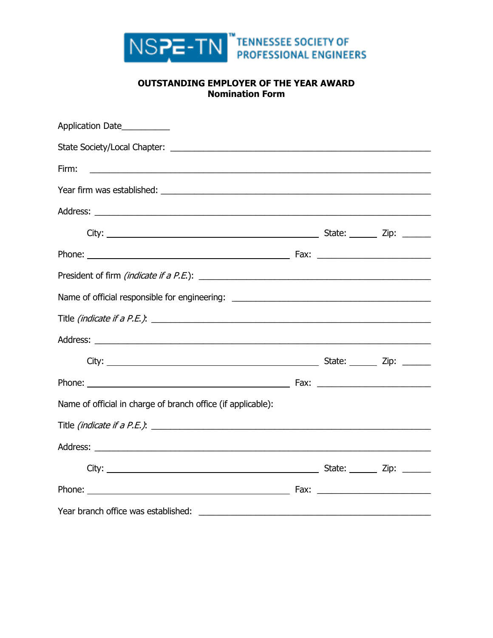

## **OUTSTANDING EMPLOYER OF THE YEAR AWARD Nomination Form**

| Application Date                                             |  |  |
|--------------------------------------------------------------|--|--|
|                                                              |  |  |
| Firm:                                                        |  |  |
|                                                              |  |  |
|                                                              |  |  |
|                                                              |  |  |
|                                                              |  |  |
|                                                              |  |  |
|                                                              |  |  |
| Title (indicate if a P.E.): $\overline{\phantom{a}}$         |  |  |
|                                                              |  |  |
|                                                              |  |  |
|                                                              |  |  |
| Name of official in charge of branch office (if applicable): |  |  |
|                                                              |  |  |
|                                                              |  |  |
|                                                              |  |  |
|                                                              |  |  |
|                                                              |  |  |